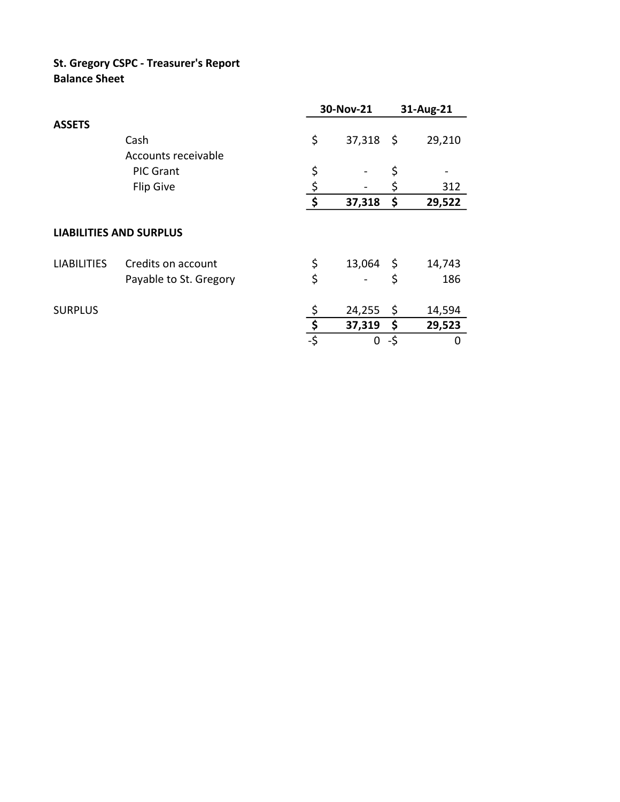## **St. Gregory CSPC - Treasurer's Report Balance Sheet**

|                                |                        |     | 30-Nov-21   |     | 31-Aug-21 |  |
|--------------------------------|------------------------|-----|-------------|-----|-----------|--|
| <b>ASSETS</b>                  |                        |     |             |     |           |  |
|                                | Cash                   | \$  | $37,318$ \$ |     | 29,210    |  |
|                                | Accounts receivable    |     |             |     |           |  |
|                                | <b>PIC Grant</b>       | \$  |             | \$  |           |  |
|                                | <b>Flip Give</b>       | \$  |             | \$  | 312       |  |
|                                |                        | \$  | 37,318      | \$  | 29,522    |  |
| <b>LIABILITIES AND SURPLUS</b> |                        |     |             |     |           |  |
| <b>LIABILITIES</b>             | Credits on account     | \$  | $13,064$ \$ |     | 14,743    |  |
|                                | Payable to St. Gregory | \$  |             | \$  | 186       |  |
| <b>SURPLUS</b>                 |                        |     | 24,255      | \$  | 14,594    |  |
|                                |                        | \$  | 37,319      | \$  | 29,523    |  |
|                                |                        | -\$ | 0           | -\$ | O         |  |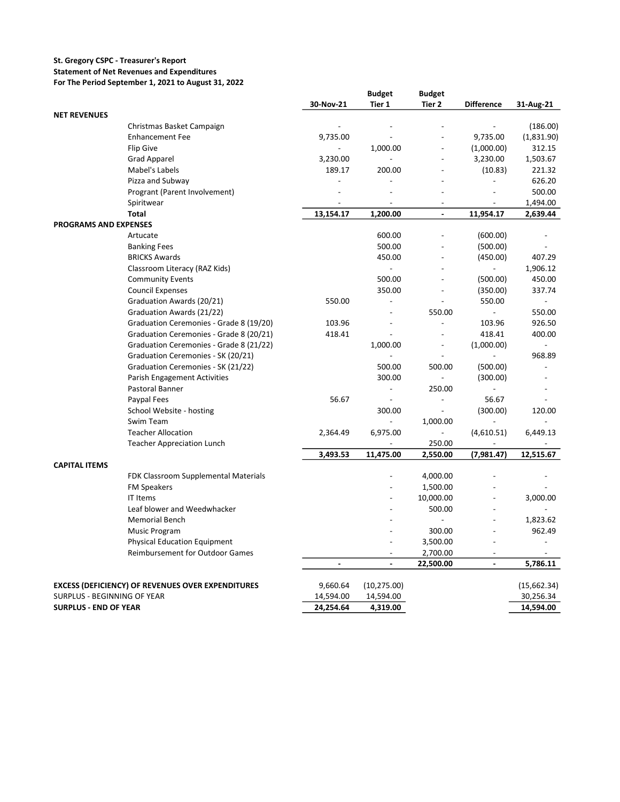## **St. Gregory CSPC - Treasurer's Report**

## **Statement of Net Revenues and Expenditures**

**For The Period September 1, 2021 to August 31, 2022**

| 30-Nov-21<br>Tier 1<br>Tier 2<br><b>Difference</b><br>31-Aug-21<br><b>NET REVENUES</b><br>(186.00)<br>Christmas Basket Campaign<br><b>Enhancement Fee</b><br>9,735.00<br>9,735.00<br>(1,831.90)<br>1,000.00<br>312.15<br>Flip Give<br>(1,000.00)<br>$\overline{a}$<br>1,503.67<br>Grad Apparel<br>3,230.00<br>3,230.00<br>221.32<br>Mabel's Labels<br>189.17<br>200.00<br>(10.83)<br>626.20<br>Pizza and Subway<br>$\frac{1}{2}$<br>500.00<br>Progrant (Parent Involvement)<br>Spiritwear<br>1,494.00<br>$\overline{\phantom{a}}$<br>$\overline{\phantom{a}}$<br>$\overline{a}$<br>$\overline{\phantom{a}}$<br><b>Total</b><br>13,154.17<br>1,200.00<br>11,954.17<br>2,639.44<br>$\overline{a}$<br><b>PROGRAMS AND EXPENSES</b><br>600.00<br>(600.00)<br>Artucate<br>500.00<br>(500.00)<br><b>Banking Fees</b><br>(450.00)<br>407.29<br><b>BRICKS Awards</b><br>450.00<br>Classroom Literacy (RAZ Kids)<br>1,906.12<br>$\overline{a}$<br>$\qquad \qquad \blacksquare$<br>450.00<br><b>Community Events</b><br>500.00<br>(500.00)<br>337.74<br><b>Council Expenses</b><br>350.00<br>(350.00)<br>550.00<br>550.00<br>Graduation Awards (20/21)<br>$\overline{\phantom{a}}$<br>$\overline{a}$<br>550.00<br>Graduation Awards (21/22)<br>550.00<br>$\sim$<br>Graduation Ceremonies - Grade 8 (19/20)<br>103.96<br>103.96<br>926.50<br>$\overline{a}$<br>Graduation Ceremonies - Grade 8 (20/21)<br>418.41<br>418.41<br>400.00<br>Graduation Ceremonies - Grade 8 (21/22)<br>1,000.00<br>(1,000.00)<br>$\overline{a}$<br>$\overline{a}$<br>968.89<br>Graduation Ceremonies - SK (20/21)<br>$\frac{1}{2}$<br>Graduation Ceremonies - SK (21/22)<br>500.00<br>500.00<br>(500.00)<br>(300.00)<br><b>Parish Engagement Activities</b><br>300.00<br>Pastoral Banner<br>250.00<br>Paypal Fees<br>56.67<br>56.67<br>$\blacksquare$<br>$\overline{\phantom{a}}$<br>(300.00)<br>School Website - hosting<br>300.00<br>120.00<br>1,000.00<br>Swim Team<br><b>Teacher Allocation</b><br>2,364.49<br>6,975.00<br>(4,610.51)<br>6,449.13<br><b>Teacher Appreciation Lunch</b><br>250.00<br>3,493.53<br>11,475.00<br>(7,981.47)<br>12,515.67<br>2,550.00<br><b>CAPITAL ITEMS</b><br>FDK Classroom Supplemental Materials<br>4,000.00<br><b>FM Speakers</b><br>1,500.00<br>IT Items<br>10,000.00<br>3,000.00<br>$\overline{a}$<br>Leaf blower and Weedwhacker<br>500.00<br>L.<br>÷.<br><b>Memorial Bench</b><br>1,823.62<br>Music Program<br>300.00<br>962.49<br><b>Physical Education Equipment</b><br>3,500.00<br><b>Reimbursement for Outdoor Games</b><br>2,700.00<br>$\overline{a}$<br>$\overline{a}$<br>22,500.00<br>5,786.11<br>$\qquad \qquad \blacksquare$<br>$\overline{\phantom{a}}$<br><b>EXCESS (DEFICIENCY) OF REVENUES OVER EXPENDITURES</b><br>9,660.64<br>(10, 275.00)<br>(15,662.34)<br>SURPLUS - BEGINNING OF YEAR<br>14,594.00<br>14,594.00<br>30,256.34<br><b>SURPLUS - END OF YEAR</b><br>24,254.64<br>4,319.00<br>14,594.00 |  | <b>Budget</b> | <b>Budget</b> |  |
|--------------------------------------------------------------------------------------------------------------------------------------------------------------------------------------------------------------------------------------------------------------------------------------------------------------------------------------------------------------------------------------------------------------------------------------------------------------------------------------------------------------------------------------------------------------------------------------------------------------------------------------------------------------------------------------------------------------------------------------------------------------------------------------------------------------------------------------------------------------------------------------------------------------------------------------------------------------------------------------------------------------------------------------------------------------------------------------------------------------------------------------------------------------------------------------------------------------------------------------------------------------------------------------------------------------------------------------------------------------------------------------------------------------------------------------------------------------------------------------------------------------------------------------------------------------------------------------------------------------------------------------------------------------------------------------------------------------------------------------------------------------------------------------------------------------------------------------------------------------------------------------------------------------------------------------------------------------------------------------------------------------------------------------------------------------------------------------------------------------------------------------------------------------------------------------------------------------------------------------------------------------------------------------------------------------------------------------------------------------------------------------------------------------------------------------------------------------------------------------------------------------------------------------------------------------------------------------------------------------------------------------------------------------------------------------------------------------------------------------------------------------------------------------------------------------------------------------------------------------------------------------------------------------------------------|--|---------------|---------------|--|
|                                                                                                                                                                                                                                                                                                                                                                                                                                                                                                                                                                                                                                                                                                                                                                                                                                                                                                                                                                                                                                                                                                                                                                                                                                                                                                                                                                                                                                                                                                                                                                                                                                                                                                                                                                                                                                                                                                                                                                                                                                                                                                                                                                                                                                                                                                                                                                                                                                                                                                                                                                                                                                                                                                                                                                                                                                                                                                                                |  |               |               |  |
|                                                                                                                                                                                                                                                                                                                                                                                                                                                                                                                                                                                                                                                                                                                                                                                                                                                                                                                                                                                                                                                                                                                                                                                                                                                                                                                                                                                                                                                                                                                                                                                                                                                                                                                                                                                                                                                                                                                                                                                                                                                                                                                                                                                                                                                                                                                                                                                                                                                                                                                                                                                                                                                                                                                                                                                                                                                                                                                                |  |               |               |  |
|                                                                                                                                                                                                                                                                                                                                                                                                                                                                                                                                                                                                                                                                                                                                                                                                                                                                                                                                                                                                                                                                                                                                                                                                                                                                                                                                                                                                                                                                                                                                                                                                                                                                                                                                                                                                                                                                                                                                                                                                                                                                                                                                                                                                                                                                                                                                                                                                                                                                                                                                                                                                                                                                                                                                                                                                                                                                                                                                |  |               |               |  |
|                                                                                                                                                                                                                                                                                                                                                                                                                                                                                                                                                                                                                                                                                                                                                                                                                                                                                                                                                                                                                                                                                                                                                                                                                                                                                                                                                                                                                                                                                                                                                                                                                                                                                                                                                                                                                                                                                                                                                                                                                                                                                                                                                                                                                                                                                                                                                                                                                                                                                                                                                                                                                                                                                                                                                                                                                                                                                                                                |  |               |               |  |
|                                                                                                                                                                                                                                                                                                                                                                                                                                                                                                                                                                                                                                                                                                                                                                                                                                                                                                                                                                                                                                                                                                                                                                                                                                                                                                                                                                                                                                                                                                                                                                                                                                                                                                                                                                                                                                                                                                                                                                                                                                                                                                                                                                                                                                                                                                                                                                                                                                                                                                                                                                                                                                                                                                                                                                                                                                                                                                                                |  |               |               |  |
|                                                                                                                                                                                                                                                                                                                                                                                                                                                                                                                                                                                                                                                                                                                                                                                                                                                                                                                                                                                                                                                                                                                                                                                                                                                                                                                                                                                                                                                                                                                                                                                                                                                                                                                                                                                                                                                                                                                                                                                                                                                                                                                                                                                                                                                                                                                                                                                                                                                                                                                                                                                                                                                                                                                                                                                                                                                                                                                                |  |               |               |  |
|                                                                                                                                                                                                                                                                                                                                                                                                                                                                                                                                                                                                                                                                                                                                                                                                                                                                                                                                                                                                                                                                                                                                                                                                                                                                                                                                                                                                                                                                                                                                                                                                                                                                                                                                                                                                                                                                                                                                                                                                                                                                                                                                                                                                                                                                                                                                                                                                                                                                                                                                                                                                                                                                                                                                                                                                                                                                                                                                |  |               |               |  |
|                                                                                                                                                                                                                                                                                                                                                                                                                                                                                                                                                                                                                                                                                                                                                                                                                                                                                                                                                                                                                                                                                                                                                                                                                                                                                                                                                                                                                                                                                                                                                                                                                                                                                                                                                                                                                                                                                                                                                                                                                                                                                                                                                                                                                                                                                                                                                                                                                                                                                                                                                                                                                                                                                                                                                                                                                                                                                                                                |  |               |               |  |
|                                                                                                                                                                                                                                                                                                                                                                                                                                                                                                                                                                                                                                                                                                                                                                                                                                                                                                                                                                                                                                                                                                                                                                                                                                                                                                                                                                                                                                                                                                                                                                                                                                                                                                                                                                                                                                                                                                                                                                                                                                                                                                                                                                                                                                                                                                                                                                                                                                                                                                                                                                                                                                                                                                                                                                                                                                                                                                                                |  |               |               |  |
|                                                                                                                                                                                                                                                                                                                                                                                                                                                                                                                                                                                                                                                                                                                                                                                                                                                                                                                                                                                                                                                                                                                                                                                                                                                                                                                                                                                                                                                                                                                                                                                                                                                                                                                                                                                                                                                                                                                                                                                                                                                                                                                                                                                                                                                                                                                                                                                                                                                                                                                                                                                                                                                                                                                                                                                                                                                                                                                                |  |               |               |  |
|                                                                                                                                                                                                                                                                                                                                                                                                                                                                                                                                                                                                                                                                                                                                                                                                                                                                                                                                                                                                                                                                                                                                                                                                                                                                                                                                                                                                                                                                                                                                                                                                                                                                                                                                                                                                                                                                                                                                                                                                                                                                                                                                                                                                                                                                                                                                                                                                                                                                                                                                                                                                                                                                                                                                                                                                                                                                                                                                |  |               |               |  |
|                                                                                                                                                                                                                                                                                                                                                                                                                                                                                                                                                                                                                                                                                                                                                                                                                                                                                                                                                                                                                                                                                                                                                                                                                                                                                                                                                                                                                                                                                                                                                                                                                                                                                                                                                                                                                                                                                                                                                                                                                                                                                                                                                                                                                                                                                                                                                                                                                                                                                                                                                                                                                                                                                                                                                                                                                                                                                                                                |  |               |               |  |
|                                                                                                                                                                                                                                                                                                                                                                                                                                                                                                                                                                                                                                                                                                                                                                                                                                                                                                                                                                                                                                                                                                                                                                                                                                                                                                                                                                                                                                                                                                                                                                                                                                                                                                                                                                                                                                                                                                                                                                                                                                                                                                                                                                                                                                                                                                                                                                                                                                                                                                                                                                                                                                                                                                                                                                                                                                                                                                                                |  |               |               |  |
|                                                                                                                                                                                                                                                                                                                                                                                                                                                                                                                                                                                                                                                                                                                                                                                                                                                                                                                                                                                                                                                                                                                                                                                                                                                                                                                                                                                                                                                                                                                                                                                                                                                                                                                                                                                                                                                                                                                                                                                                                                                                                                                                                                                                                                                                                                                                                                                                                                                                                                                                                                                                                                                                                                                                                                                                                                                                                                                                |  |               |               |  |
|                                                                                                                                                                                                                                                                                                                                                                                                                                                                                                                                                                                                                                                                                                                                                                                                                                                                                                                                                                                                                                                                                                                                                                                                                                                                                                                                                                                                                                                                                                                                                                                                                                                                                                                                                                                                                                                                                                                                                                                                                                                                                                                                                                                                                                                                                                                                                                                                                                                                                                                                                                                                                                                                                                                                                                                                                                                                                                                                |  |               |               |  |
|                                                                                                                                                                                                                                                                                                                                                                                                                                                                                                                                                                                                                                                                                                                                                                                                                                                                                                                                                                                                                                                                                                                                                                                                                                                                                                                                                                                                                                                                                                                                                                                                                                                                                                                                                                                                                                                                                                                                                                                                                                                                                                                                                                                                                                                                                                                                                                                                                                                                                                                                                                                                                                                                                                                                                                                                                                                                                                                                |  |               |               |  |
|                                                                                                                                                                                                                                                                                                                                                                                                                                                                                                                                                                                                                                                                                                                                                                                                                                                                                                                                                                                                                                                                                                                                                                                                                                                                                                                                                                                                                                                                                                                                                                                                                                                                                                                                                                                                                                                                                                                                                                                                                                                                                                                                                                                                                                                                                                                                                                                                                                                                                                                                                                                                                                                                                                                                                                                                                                                                                                                                |  |               |               |  |
|                                                                                                                                                                                                                                                                                                                                                                                                                                                                                                                                                                                                                                                                                                                                                                                                                                                                                                                                                                                                                                                                                                                                                                                                                                                                                                                                                                                                                                                                                                                                                                                                                                                                                                                                                                                                                                                                                                                                                                                                                                                                                                                                                                                                                                                                                                                                                                                                                                                                                                                                                                                                                                                                                                                                                                                                                                                                                                                                |  |               |               |  |
|                                                                                                                                                                                                                                                                                                                                                                                                                                                                                                                                                                                                                                                                                                                                                                                                                                                                                                                                                                                                                                                                                                                                                                                                                                                                                                                                                                                                                                                                                                                                                                                                                                                                                                                                                                                                                                                                                                                                                                                                                                                                                                                                                                                                                                                                                                                                                                                                                                                                                                                                                                                                                                                                                                                                                                                                                                                                                                                                |  |               |               |  |
|                                                                                                                                                                                                                                                                                                                                                                                                                                                                                                                                                                                                                                                                                                                                                                                                                                                                                                                                                                                                                                                                                                                                                                                                                                                                                                                                                                                                                                                                                                                                                                                                                                                                                                                                                                                                                                                                                                                                                                                                                                                                                                                                                                                                                                                                                                                                                                                                                                                                                                                                                                                                                                                                                                                                                                                                                                                                                                                                |  |               |               |  |
|                                                                                                                                                                                                                                                                                                                                                                                                                                                                                                                                                                                                                                                                                                                                                                                                                                                                                                                                                                                                                                                                                                                                                                                                                                                                                                                                                                                                                                                                                                                                                                                                                                                                                                                                                                                                                                                                                                                                                                                                                                                                                                                                                                                                                                                                                                                                                                                                                                                                                                                                                                                                                                                                                                                                                                                                                                                                                                                                |  |               |               |  |
|                                                                                                                                                                                                                                                                                                                                                                                                                                                                                                                                                                                                                                                                                                                                                                                                                                                                                                                                                                                                                                                                                                                                                                                                                                                                                                                                                                                                                                                                                                                                                                                                                                                                                                                                                                                                                                                                                                                                                                                                                                                                                                                                                                                                                                                                                                                                                                                                                                                                                                                                                                                                                                                                                                                                                                                                                                                                                                                                |  |               |               |  |
|                                                                                                                                                                                                                                                                                                                                                                                                                                                                                                                                                                                                                                                                                                                                                                                                                                                                                                                                                                                                                                                                                                                                                                                                                                                                                                                                                                                                                                                                                                                                                                                                                                                                                                                                                                                                                                                                                                                                                                                                                                                                                                                                                                                                                                                                                                                                                                                                                                                                                                                                                                                                                                                                                                                                                                                                                                                                                                                                |  |               |               |  |
|                                                                                                                                                                                                                                                                                                                                                                                                                                                                                                                                                                                                                                                                                                                                                                                                                                                                                                                                                                                                                                                                                                                                                                                                                                                                                                                                                                                                                                                                                                                                                                                                                                                                                                                                                                                                                                                                                                                                                                                                                                                                                                                                                                                                                                                                                                                                                                                                                                                                                                                                                                                                                                                                                                                                                                                                                                                                                                                                |  |               |               |  |
|                                                                                                                                                                                                                                                                                                                                                                                                                                                                                                                                                                                                                                                                                                                                                                                                                                                                                                                                                                                                                                                                                                                                                                                                                                                                                                                                                                                                                                                                                                                                                                                                                                                                                                                                                                                                                                                                                                                                                                                                                                                                                                                                                                                                                                                                                                                                                                                                                                                                                                                                                                                                                                                                                                                                                                                                                                                                                                                                |  |               |               |  |
|                                                                                                                                                                                                                                                                                                                                                                                                                                                                                                                                                                                                                                                                                                                                                                                                                                                                                                                                                                                                                                                                                                                                                                                                                                                                                                                                                                                                                                                                                                                                                                                                                                                                                                                                                                                                                                                                                                                                                                                                                                                                                                                                                                                                                                                                                                                                                                                                                                                                                                                                                                                                                                                                                                                                                                                                                                                                                                                                |  |               |               |  |
|                                                                                                                                                                                                                                                                                                                                                                                                                                                                                                                                                                                                                                                                                                                                                                                                                                                                                                                                                                                                                                                                                                                                                                                                                                                                                                                                                                                                                                                                                                                                                                                                                                                                                                                                                                                                                                                                                                                                                                                                                                                                                                                                                                                                                                                                                                                                                                                                                                                                                                                                                                                                                                                                                                                                                                                                                                                                                                                                |  |               |               |  |
|                                                                                                                                                                                                                                                                                                                                                                                                                                                                                                                                                                                                                                                                                                                                                                                                                                                                                                                                                                                                                                                                                                                                                                                                                                                                                                                                                                                                                                                                                                                                                                                                                                                                                                                                                                                                                                                                                                                                                                                                                                                                                                                                                                                                                                                                                                                                                                                                                                                                                                                                                                                                                                                                                                                                                                                                                                                                                                                                |  |               |               |  |
|                                                                                                                                                                                                                                                                                                                                                                                                                                                                                                                                                                                                                                                                                                                                                                                                                                                                                                                                                                                                                                                                                                                                                                                                                                                                                                                                                                                                                                                                                                                                                                                                                                                                                                                                                                                                                                                                                                                                                                                                                                                                                                                                                                                                                                                                                                                                                                                                                                                                                                                                                                                                                                                                                                                                                                                                                                                                                                                                |  |               |               |  |
|                                                                                                                                                                                                                                                                                                                                                                                                                                                                                                                                                                                                                                                                                                                                                                                                                                                                                                                                                                                                                                                                                                                                                                                                                                                                                                                                                                                                                                                                                                                                                                                                                                                                                                                                                                                                                                                                                                                                                                                                                                                                                                                                                                                                                                                                                                                                                                                                                                                                                                                                                                                                                                                                                                                                                                                                                                                                                                                                |  |               |               |  |
|                                                                                                                                                                                                                                                                                                                                                                                                                                                                                                                                                                                                                                                                                                                                                                                                                                                                                                                                                                                                                                                                                                                                                                                                                                                                                                                                                                                                                                                                                                                                                                                                                                                                                                                                                                                                                                                                                                                                                                                                                                                                                                                                                                                                                                                                                                                                                                                                                                                                                                                                                                                                                                                                                                                                                                                                                                                                                                                                |  |               |               |  |
|                                                                                                                                                                                                                                                                                                                                                                                                                                                                                                                                                                                                                                                                                                                                                                                                                                                                                                                                                                                                                                                                                                                                                                                                                                                                                                                                                                                                                                                                                                                                                                                                                                                                                                                                                                                                                                                                                                                                                                                                                                                                                                                                                                                                                                                                                                                                                                                                                                                                                                                                                                                                                                                                                                                                                                                                                                                                                                                                |  |               |               |  |
|                                                                                                                                                                                                                                                                                                                                                                                                                                                                                                                                                                                                                                                                                                                                                                                                                                                                                                                                                                                                                                                                                                                                                                                                                                                                                                                                                                                                                                                                                                                                                                                                                                                                                                                                                                                                                                                                                                                                                                                                                                                                                                                                                                                                                                                                                                                                                                                                                                                                                                                                                                                                                                                                                                                                                                                                                                                                                                                                |  |               |               |  |
|                                                                                                                                                                                                                                                                                                                                                                                                                                                                                                                                                                                                                                                                                                                                                                                                                                                                                                                                                                                                                                                                                                                                                                                                                                                                                                                                                                                                                                                                                                                                                                                                                                                                                                                                                                                                                                                                                                                                                                                                                                                                                                                                                                                                                                                                                                                                                                                                                                                                                                                                                                                                                                                                                                                                                                                                                                                                                                                                |  |               |               |  |
|                                                                                                                                                                                                                                                                                                                                                                                                                                                                                                                                                                                                                                                                                                                                                                                                                                                                                                                                                                                                                                                                                                                                                                                                                                                                                                                                                                                                                                                                                                                                                                                                                                                                                                                                                                                                                                                                                                                                                                                                                                                                                                                                                                                                                                                                                                                                                                                                                                                                                                                                                                                                                                                                                                                                                                                                                                                                                                                                |  |               |               |  |
|                                                                                                                                                                                                                                                                                                                                                                                                                                                                                                                                                                                                                                                                                                                                                                                                                                                                                                                                                                                                                                                                                                                                                                                                                                                                                                                                                                                                                                                                                                                                                                                                                                                                                                                                                                                                                                                                                                                                                                                                                                                                                                                                                                                                                                                                                                                                                                                                                                                                                                                                                                                                                                                                                                                                                                                                                                                                                                                                |  |               |               |  |
|                                                                                                                                                                                                                                                                                                                                                                                                                                                                                                                                                                                                                                                                                                                                                                                                                                                                                                                                                                                                                                                                                                                                                                                                                                                                                                                                                                                                                                                                                                                                                                                                                                                                                                                                                                                                                                                                                                                                                                                                                                                                                                                                                                                                                                                                                                                                                                                                                                                                                                                                                                                                                                                                                                                                                                                                                                                                                                                                |  |               |               |  |
|                                                                                                                                                                                                                                                                                                                                                                                                                                                                                                                                                                                                                                                                                                                                                                                                                                                                                                                                                                                                                                                                                                                                                                                                                                                                                                                                                                                                                                                                                                                                                                                                                                                                                                                                                                                                                                                                                                                                                                                                                                                                                                                                                                                                                                                                                                                                                                                                                                                                                                                                                                                                                                                                                                                                                                                                                                                                                                                                |  |               |               |  |
|                                                                                                                                                                                                                                                                                                                                                                                                                                                                                                                                                                                                                                                                                                                                                                                                                                                                                                                                                                                                                                                                                                                                                                                                                                                                                                                                                                                                                                                                                                                                                                                                                                                                                                                                                                                                                                                                                                                                                                                                                                                                                                                                                                                                                                                                                                                                                                                                                                                                                                                                                                                                                                                                                                                                                                                                                                                                                                                                |  |               |               |  |
|                                                                                                                                                                                                                                                                                                                                                                                                                                                                                                                                                                                                                                                                                                                                                                                                                                                                                                                                                                                                                                                                                                                                                                                                                                                                                                                                                                                                                                                                                                                                                                                                                                                                                                                                                                                                                                                                                                                                                                                                                                                                                                                                                                                                                                                                                                                                                                                                                                                                                                                                                                                                                                                                                                                                                                                                                                                                                                                                |  |               |               |  |
|                                                                                                                                                                                                                                                                                                                                                                                                                                                                                                                                                                                                                                                                                                                                                                                                                                                                                                                                                                                                                                                                                                                                                                                                                                                                                                                                                                                                                                                                                                                                                                                                                                                                                                                                                                                                                                                                                                                                                                                                                                                                                                                                                                                                                                                                                                                                                                                                                                                                                                                                                                                                                                                                                                                                                                                                                                                                                                                                |  |               |               |  |
|                                                                                                                                                                                                                                                                                                                                                                                                                                                                                                                                                                                                                                                                                                                                                                                                                                                                                                                                                                                                                                                                                                                                                                                                                                                                                                                                                                                                                                                                                                                                                                                                                                                                                                                                                                                                                                                                                                                                                                                                                                                                                                                                                                                                                                                                                                                                                                                                                                                                                                                                                                                                                                                                                                                                                                                                                                                                                                                                |  |               |               |  |
|                                                                                                                                                                                                                                                                                                                                                                                                                                                                                                                                                                                                                                                                                                                                                                                                                                                                                                                                                                                                                                                                                                                                                                                                                                                                                                                                                                                                                                                                                                                                                                                                                                                                                                                                                                                                                                                                                                                                                                                                                                                                                                                                                                                                                                                                                                                                                                                                                                                                                                                                                                                                                                                                                                                                                                                                                                                                                                                                |  |               |               |  |
|                                                                                                                                                                                                                                                                                                                                                                                                                                                                                                                                                                                                                                                                                                                                                                                                                                                                                                                                                                                                                                                                                                                                                                                                                                                                                                                                                                                                                                                                                                                                                                                                                                                                                                                                                                                                                                                                                                                                                                                                                                                                                                                                                                                                                                                                                                                                                                                                                                                                                                                                                                                                                                                                                                                                                                                                                                                                                                                                |  |               |               |  |
|                                                                                                                                                                                                                                                                                                                                                                                                                                                                                                                                                                                                                                                                                                                                                                                                                                                                                                                                                                                                                                                                                                                                                                                                                                                                                                                                                                                                                                                                                                                                                                                                                                                                                                                                                                                                                                                                                                                                                                                                                                                                                                                                                                                                                                                                                                                                                                                                                                                                                                                                                                                                                                                                                                                                                                                                                                                                                                                                |  |               |               |  |
|                                                                                                                                                                                                                                                                                                                                                                                                                                                                                                                                                                                                                                                                                                                                                                                                                                                                                                                                                                                                                                                                                                                                                                                                                                                                                                                                                                                                                                                                                                                                                                                                                                                                                                                                                                                                                                                                                                                                                                                                                                                                                                                                                                                                                                                                                                                                                                                                                                                                                                                                                                                                                                                                                                                                                                                                                                                                                                                                |  |               |               |  |
|                                                                                                                                                                                                                                                                                                                                                                                                                                                                                                                                                                                                                                                                                                                                                                                                                                                                                                                                                                                                                                                                                                                                                                                                                                                                                                                                                                                                                                                                                                                                                                                                                                                                                                                                                                                                                                                                                                                                                                                                                                                                                                                                                                                                                                                                                                                                                                                                                                                                                                                                                                                                                                                                                                                                                                                                                                                                                                                                |  |               |               |  |